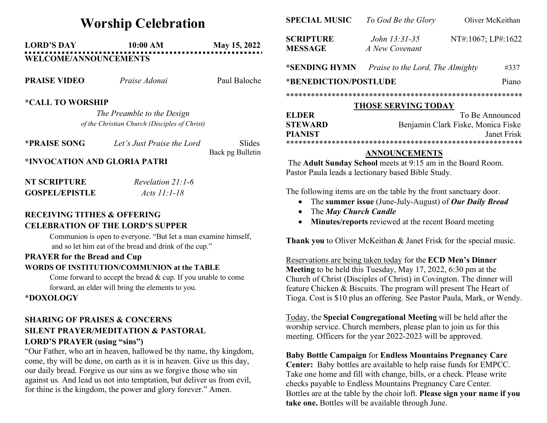# Worship Celebration

# LORD'S DAY 10:00 AM May 15, 2022 WELCOME/ANNOUNCEMENTS

| <b>PRAISE VIDEO</b> | Praise Adonai | Paul Baloche |
|---------------------|---------------|--------------|
|                     |               |              |

#### \*CALL TO WORSHIP

The Preamble to the Design of the Christian Church (Disciples of Christ)

| <b>*PRAISE SONG</b> | Let's Just Praise the Lord | Slides           |
|---------------------|----------------------------|------------------|
|                     |                            | Back pg Bulletin |

#### \*INVOCATION AND GLORIA PATRI

| NT SCRIPTURE          | Revelation $21:1-6$ |
|-----------------------|---------------------|
| <b>GOSPEL/EPISTLE</b> | Acts $11:1-18$      |

### RECEIVING TITHES & OFFERING CELEBRATION OF THE LORD'S SUPPER

Communion is open to everyone. "But let a man examine himself, and so let him eat of the bread and drink of the cup."

## PRAYER for the Bread and Cup

#### WORDS OF INSTITUTION/COMMUNION at the TABLE

Come forward to accept the bread & cup. If you unable to come forward, an elder will bring the elements to you.

\*DOXOLOGY

### SHARING OF PRAISES & CONCERNS SILENT PRAYER/MEDITATION & PASTORAL LORD'S PRAYER (using "sins")

"Our Father, who art in heaven, hallowed be thy name, thy kingdom, come, thy will be done, on earth as it is in heaven. Give us this day, our daily bread. Forgive us our sins as we forgive those who sin against us. And lead us not into temptation, but deliver us from evil, for thine is the kingdom, the power and glory forever." Amen.

| <b>SPECIAL MUSIC</b>               | To God Be the Glory                | Oliver McKeithan   |       |  |  |
|------------------------------------|------------------------------------|--------------------|-------|--|--|
| <b>SCRIPTURE</b><br><b>MESSAGE</b> | John 13:31-35<br>A New Covenant    | NT#:1067; LP#:1622 |       |  |  |
| *SENDING HYMN                      | Praise to the Lord, The Almighty   |                    | #337  |  |  |
| *BENEDICTION/POSTLUDE              |                                    |                    | Piano |  |  |
|                                    |                                    |                    |       |  |  |
| <b>THOSE SERVING TODAY</b>         |                                    |                    |       |  |  |
| <b>ELDER</b>                       |                                    | To Be Announced    |       |  |  |
| <b>STEWARD</b>                     | Benjamin Clark Fiske, Monica Fiske |                    |       |  |  |
| <b>PIANIST</b>                     | Janet Frisk                        |                    |       |  |  |

\*\*\*\*\*\*\*\*\*\*\*\*\*\*\*\*\*\*\*\*\*\*\*\*\*\*\*\*\*\*\*\*\*\*\*\*\*\*\*\*\*\*\*\*\*\*\*\*\*\*\*\*\*\*\*\*\*

#### ANNOUNCEMENTS

The Adult Sunday School meets at 9:15 am in the Board Room. Pastor Paula leads a lectionary based Bible Study.

The following items are on the table by the front sanctuary door.

- The summer issue (June-July-August) of Our Daily Bread
- The May Church Candle
- Minutes/reports reviewed at the recent Board meeting

Thank you to Oliver McKeithan & Janet Frisk for the special music.

Reservations are being taken today for the ECD Men's Dinner Meeting to be held this Tuesday, May 17, 2022, 6:30 pm at the Church of Christ (Disciples of Christ) in Covington. The dinner will feature Chicken & Biscuits. The program will present The Heart of Tioga. Cost is \$10 plus an offering. See Pastor Paula, Mark, or Wendy.

Today, the Special Congregational Meeting will be held after the worship service. Church members, please plan to join us for this meeting. Officers for the year 2022-2023 will be approved.

#### Baby Bottle Campaign for Endless Mountains Pregnancy Care Center: Baby bottles are available to help raise funds for EMPCC. Take one home and fill with change, bills, or a check. Please write checks payable to Endless Mountains Pregnancy Care Center. Bottles are at the table by the choir loft. Please sign your name if you take one. Bottles will be available through June.